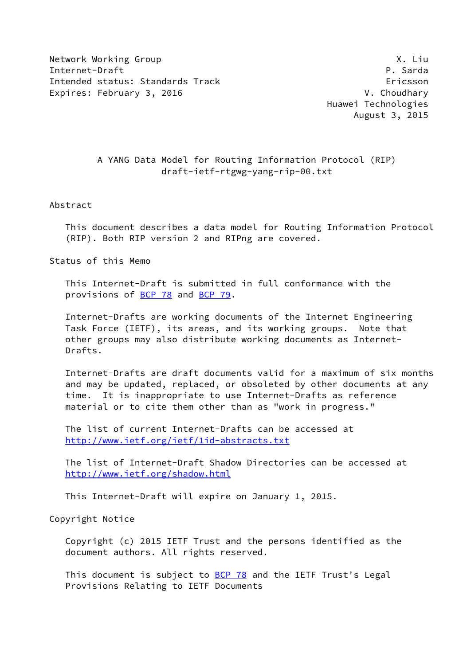Network Working Group **X. Limits and Struck** Working Group Internet-Draft P. Sarda Intended status: Standards Track Ericsson Expires: February 3, 2016 **V. Choudhary** 

 Huawei Technologies August 3, 2015

# A YANG Data Model for Routing Information Protocol (RIP) draft-ietf-rtgwg-yang-rip-00.txt

#### Abstract

 This document describes a data model for Routing Information Protocol (RIP). Both RIP version 2 and RIPng are covered.

Status of this Memo

 This Internet-Draft is submitted in full conformance with the provisions of [BCP 78](https://datatracker.ietf.org/doc/pdf/bcp78) and [BCP 79](https://datatracker.ietf.org/doc/pdf/bcp79).

 Internet-Drafts are working documents of the Internet Engineering Task Force (IETF), its areas, and its working groups. Note that other groups may also distribute working documents as Internet- Drafts.

 Internet-Drafts are draft documents valid for a maximum of six months and may be updated, replaced, or obsoleted by other documents at any time. It is inappropriate to use Internet-Drafts as reference material or to cite them other than as "work in progress."

 The list of current Internet-Drafts can be accessed at <http://www.ietf.org/ietf/1id-abstracts.txt>

 The list of Internet-Draft Shadow Directories can be accessed at <http://www.ietf.org/shadow.html>

This Internet-Draft will expire on January 1, 2015.

Copyright Notice

 Copyright (c) 2015 IETF Trust and the persons identified as the document authors. All rights reserved.

This document is subject to [BCP 78](https://datatracker.ietf.org/doc/pdf/bcp78) and the IETF Trust's Legal Provisions Relating to IETF Documents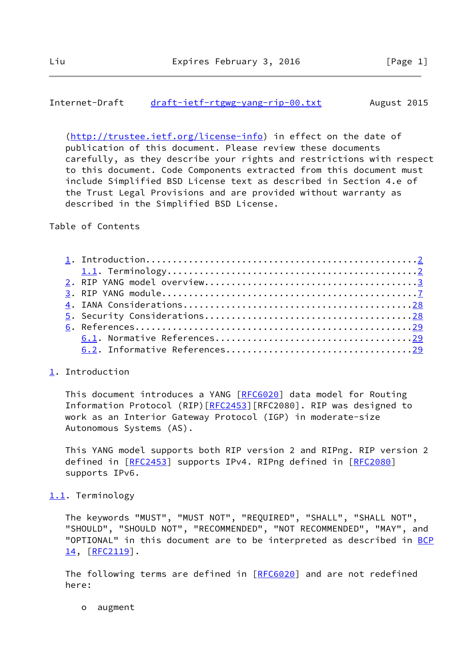<span id="page-1-1"></span> [\(http://trustee.ietf.org/license-info](http://trustee.ietf.org/license-info)) in effect on the date of publication of this document. Please review these documents carefully, as they describe your rights and restrictions with respect to this document. Code Components extracted from this document must include Simplified BSD License text as described in Section 4.e of the Trust Legal Provisions and are provided without warranty as described in the Simplified BSD License.

Table of Contents

#### <span id="page-1-0"></span>[1](#page-1-0). Introduction

This document introduces a YANG [\[RFC6020](https://datatracker.ietf.org/doc/pdf/rfc6020)] data model for Routing Information Protocol (RIP) [[RFC2453](https://datatracker.ietf.org/doc/pdf/rfc2453)] [RFC2080]. RIP was designed to work as an Interior Gateway Protocol (IGP) in moderate-size Autonomous Systems (AS).

 This YANG model supports both RIP version 2 and RIPng. RIP version 2 defined in [[RFC2453\]](https://datatracker.ietf.org/doc/pdf/rfc2453) supports IPv4. RIPng defined in [\[RFC2080](https://datatracker.ietf.org/doc/pdf/rfc2080)] supports IPv6.

#### <span id="page-1-2"></span>[1.1](#page-1-2). Terminology

 The keywords "MUST", "MUST NOT", "REQUIRED", "SHALL", "SHALL NOT", "SHOULD", "SHOULD NOT", "RECOMMENDED", "NOT RECOMMENDED", "MAY", and "OPTIONAL" in this document are to be interpreted as described in [BCP](https://datatracker.ietf.org/doc/pdf/bcp14) [14](https://datatracker.ietf.org/doc/pdf/bcp14), [\[RFC2119](https://datatracker.ietf.org/doc/pdf/rfc2119)].

The following terms are defined in [[RFC6020\]](https://datatracker.ietf.org/doc/pdf/rfc6020) and are not redefined here:

o augment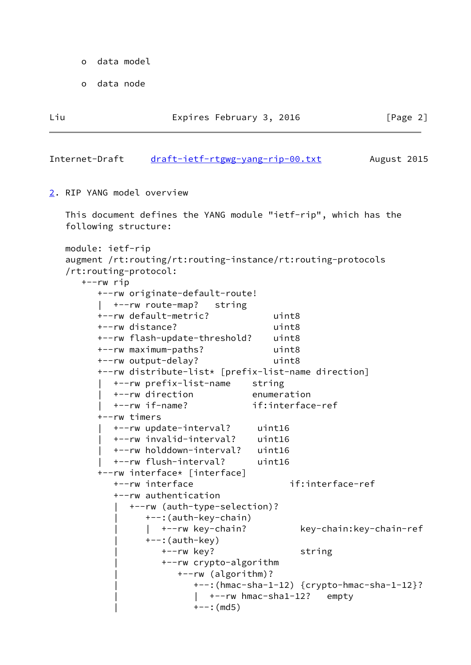- o data model
- o data node

<span id="page-2-1"></span><span id="page-2-0"></span>

| Liu                                                                                       | Expires February 3, 2016                                                                                                                                                                                                                                                                                                                                                                                                                                                                                                                                                                              |                                                                                                                                | [Page 2]                |
|-------------------------------------------------------------------------------------------|-------------------------------------------------------------------------------------------------------------------------------------------------------------------------------------------------------------------------------------------------------------------------------------------------------------------------------------------------------------------------------------------------------------------------------------------------------------------------------------------------------------------------------------------------------------------------------------------------------|--------------------------------------------------------------------------------------------------------------------------------|-------------------------|
| Internet-Draft                                                                            | draft-ietf-rtgwg-yang-rip-00.txt                                                                                                                                                                                                                                                                                                                                                                                                                                                                                                                                                                      |                                                                                                                                | August 2015             |
| 2. RIP YANG model overview                                                                |                                                                                                                                                                                                                                                                                                                                                                                                                                                                                                                                                                                                       |                                                                                                                                |                         |
| following structure:                                                                      | This document defines the YANG module "ietf-rip", which has the                                                                                                                                                                                                                                                                                                                                                                                                                                                                                                                                       |                                                                                                                                |                         |
| module: ietf-rip<br>/rt:routing-protocol:<br>+--rw rip<br>+--rw distance?<br>+--rw timers | augment /rt:routing/rt:routing-instance/rt:routing-protocols<br>+--rw originate-default-route!<br>$\vert$ +--rw route-map? string<br>+--rw default-metric?<br>+--rw flash-update-threshold?<br>+--rw maximum-paths?<br>+--rw output-delay?<br>+--rw distribute-list* [prefix-list-name direction]<br>+--rw prefix-list-name string<br>+--rw direction<br>$+--rw$ if-name?<br>+--rw update-interval? uint16<br>+--rw invalid-interval?<br>+--rw holddown-interval?<br>+--rw flush-interval?<br>+--rw interface* [interface]<br>+--rw interface<br>+--rw authentication<br>+--rw (auth-type-selection)? | uint8<br>uint8<br>uint8<br>uint8<br>uint8<br>enumeration<br>if:interface-ref<br>uint16<br>uint16<br>uint16<br>if:interface-ref |                         |
|                                                                                           | +--: (auth-key-chain)<br>+--rw key-chain?                                                                                                                                                                                                                                                                                                                                                                                                                                                                                                                                                             |                                                                                                                                | key-chain:key-chain-ref |
|                                                                                           | $+-: (auth - key)$<br>$+--rw$ key?<br>+--rw crypto-algorithm                                                                                                                                                                                                                                                                                                                                                                                                                                                                                                                                          | string                                                                                                                         |                         |

| +--rw (algorithm)?

 $+--:$  (md5)

| +--:(hmac-sha-1-12) {crypto-hmac-sha-1-12}?

| | +--rw hmac-sha1-12? empty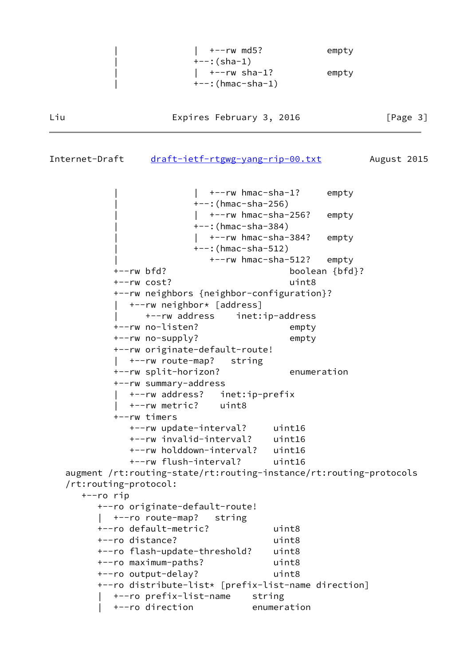```
| +--rw md5? empty
+--:({sha-1}) | | +--rw sha-1? empty
+--: (hmac-sha-1)
```
#### Internet-Draft [draft-ietf-rtgwg-yang-rip-00.txt](https://datatracker.ietf.org/doc/pdf/draft-ietf-rtgwg-yang-rip-00.txt) August 2015

 $\vert$  +--rw hmac-sha-1? empty | +--:(hmac-sha-256) | | +--rw hmac-sha-256? empty | +--:(hmac-sha-384) |  $+--rw$  hmac-sha-384? empty | +--:(hmac-sha-512) | +--rw hmac-sha-512? empty +--rw bfd? boolean {bfd}? +--rw cost? uint8 +--rw neighbors {neighbor-configuration}? | +--rw neighbor\* [address] | +--rw address inet:ip-address +--rw no-listen? empty +--rw no-supply? empty +--rw originate-default-route! | +--rw route-map? string +--rw split-horizon? enumeration +--rw summary-address | +--rw address? inet:ip-prefix | +--rw metric? uint8 +--rw timers +--rw update-interval? uint16 +--rw invalid-interval? uint16 +--rw holddown-interval? uint16 +--rw flush-interval? uint16 augment /rt:routing-state/rt:routing-instance/rt:routing-protocols /rt:routing-protocol: +--ro rip +--ro originate-default-route! | +--ro route-map? string +--ro default-metric? uint8 +--ro distance? uint8 +--ro flash-update-threshold? uint8 +--ro maximum-paths? uint8 +--ro output-delay? uint8 +--ro distribute-list\* [prefix-list-name direction] | +--ro prefix-list-name string +--ro direction enumeration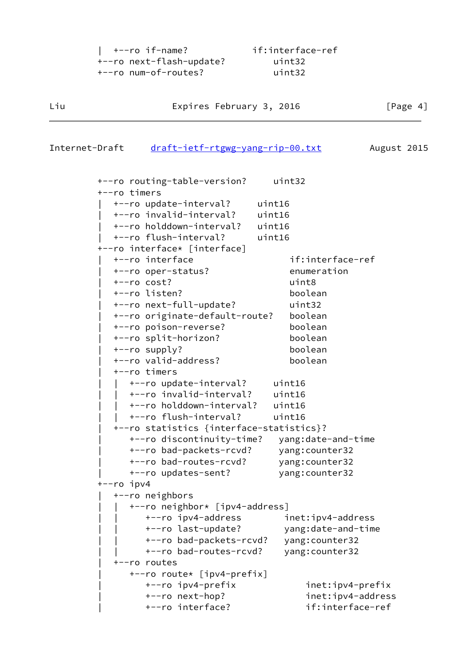| $\vert$ +--ro if-name?   | if:interface-ref |
|--------------------------|------------------|
| +--ro next-flash-update? | uint32           |
| +--ro num-of-routes?     | uint32           |

 $\overline{\phantom{0}}$ 

# Internet-Draft [draft-ietf-rtgwg-yang-rip-00.txt](https://datatracker.ietf.org/doc/pdf/draft-ietf-rtgwg-yang-rip-00.txt) August 2015

| +--ro routing-table-version?<br>+--ro timers             | uint32             |
|----------------------------------------------------------|--------------------|
|                                                          |                    |
| +--ro update-interval?<br>+--ro invalid-interval? uint16 | uint16             |
| +--ro holddown-interval? uint16                          |                    |
| +--ro flush-interval?                                    | uint16             |
| +--ro interface* [interface]                             |                    |
| +--ro interface                                          | if:interface-ref   |
| +--ro oper-status?                                       | enumeration        |
| $+--ro cost?$                                            | uint8              |
| +--ro listen?                                            | boolean            |
| +--ro next-full-update?                                  | uint32             |
| +--ro originate-default-route?                           | boolean            |
| +--ro poison-reverse?                                    | boolean            |
| +--ro split-horizon?                                     | boolean            |
| +--ro supply?                                            | boolean            |
| +--ro valid-address?                                     | boolean            |
| +--ro timers                                             |                    |
| +--ro update-interval?                                   | uint16             |
| +--ro invalid-interval?                                  | uint16             |
| +--ro holddown-interval? uint16                          |                    |
| +--ro flush-interval?                                    | uint16             |
| +--ro statistics {interface-statistics}?                 |                    |
| +--ro discontinuity-time? yang:date-and-time             |                    |
| +--ro bad-packets-rcvd?                                  | yang: counter32    |
| +--ro bad-routes-rcvd?                                   | yang: counter32    |
| +--ro updates-sent?                                      | yang: counter32    |
| +--ro ipv4                                               |                    |
| +--ro neighbors                                          |                    |
| +--ro neighbor* [ipv4-address]                           |                    |
| +--ro ipv4-address                                       | inet:ipv4-address  |
| +--ro last-update?                                       | yang:date-and-time |
| +--ro bad-packets-rcvd?                                  | yang: counter32    |
| +--ro bad-routes-rcvd?                                   | yang: counter32    |
| +--ro routes                                             |                    |
| +--ro route* [ipv4-prefix]                               |                    |
| +--ro ipv4-prefix                                        | inet:ipv4-prefix   |
| +--ro next-hop?                                          | inet:ipv4-address  |
| +--ro interface?                                         | if:interface-ref   |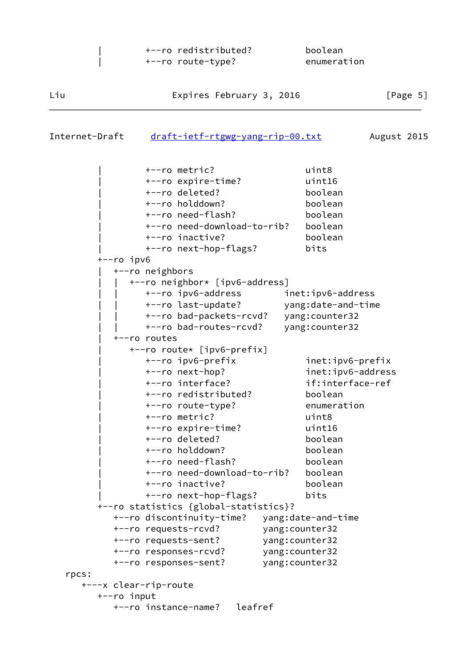|                       | +--ro redistributed?<br>+--ro route-type? |                 | boolean<br>enumeration |             |  |
|-----------------------|-------------------------------------------|-----------------|------------------------|-------------|--|
| Liu                   | Expires February 3, 2016                  |                 |                        | [Page 5]    |  |
| Internet-Draft        | draft-ietf-rtgwg-yang-rip-00.txt          |                 |                        | August 2015 |  |
|                       | $+--ro$ metric?                           |                 | uint8                  |             |  |
|                       | +--ro expire-time?                        |                 | uint16                 |             |  |
|                       | +--ro deleted?                            |                 | boolean                |             |  |
|                       | +--ro holddown?                           |                 | boolean                |             |  |
|                       | +--ro need-flash?                         |                 | boolean                |             |  |
|                       | +--ro need-download-to-rib?               |                 | boolean                |             |  |
|                       | +--ro inactive?                           |                 | boolean                |             |  |
|                       | +--ro next-hop-flags?                     |                 | bits                   |             |  |
| +--ro ipv6            |                                           |                 |                        |             |  |
|                       | +--ro neighbors                           |                 |                        |             |  |
|                       | +--ro neighbor* [ipv6-address]            |                 |                        |             |  |
|                       | +--ro ipv6-address                        |                 | inet:ipv6-address      |             |  |
|                       | +--ro last-update?                        |                 | yang:date-and-time     |             |  |
|                       | +--ro bad-packets-rcvd?                   |                 | yang: counter32        |             |  |
|                       | +--ro bad-routes-rcvd?                    |                 | yang: counter32        |             |  |
|                       | +--ro routes                              |                 |                        |             |  |
|                       | +--ro route* [ipv6-prefix]                |                 |                        |             |  |
|                       | +--ro ipv6-prefix                         |                 | inet:ipv6-prefix       |             |  |
|                       | +--ro next-hop?                           |                 | inet:ipv6-address      |             |  |
|                       | +--ro interface?                          |                 | if:interface-ref       |             |  |
|                       | +--ro redistributed?                      |                 | boolean                |             |  |
|                       | +--ro route-type?                         |                 | enumeration<br>uint8   |             |  |
|                       | +--ro metric?                             |                 |                        |             |  |
|                       | +--ro expire-time?<br>+--ro deleted?      |                 | uint16<br>boolean      |             |  |
|                       | +--ro holddown?                           |                 | boolean                |             |  |
|                       | +--ro need-flash?                         |                 | boolean                |             |  |
|                       | +--ro need-download-to-rib?               |                 | boolean                |             |  |
|                       | +--ro inactive?                           |                 | boolean                |             |  |
|                       | +--ro next-hop-flags?                     |                 | bits                   |             |  |
|                       | +--ro statistics {global-statistics}?     |                 |                        |             |  |
|                       | +--ro discontinuity-time?                 |                 | yang:date-and-time     |             |  |
|                       | +--ro requests-rcvd?                      | yang: counter32 |                        |             |  |
|                       | +--ro requests-sent?                      | yang: counter32 |                        |             |  |
|                       | +--ro responses-rcvd?                     | yang: counter32 |                        |             |  |
|                       | +--ro responses-sent?                     | yang: counter32 |                        |             |  |
| rpcs:                 |                                           |                 |                        |             |  |
| +---x clear-rip-route |                                           |                 |                        |             |  |
| +--ro input           |                                           |                 |                        |             |  |
|                       | leafref<br>+--ro instance-name?           |                 |                        |             |  |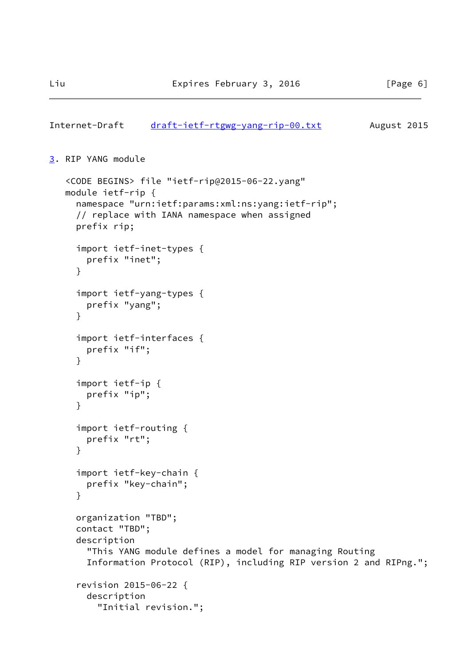```
draft-ietf-rtgwg-yang-rip-00.txt August 2015
```
<span id="page-6-0"></span>[3](#page-6-0). RIP YANG module

```
 <CODE BEGINS> file "ietf-rip@2015-06-22.yang"
 module ietf-rip {
   namespace "urn:ietf:params:xml:ns:yang:ietf-rip";
   // replace with IANA namespace when assigned
   prefix rip;
   import ietf-inet-types {
     prefix "inet";
   }
   import ietf-yang-types {
     prefix "yang";
   }
   import ietf-interfaces {
     prefix "if";
   }
   import ietf-ip {
     prefix "ip";
   }
   import ietf-routing {
     prefix "rt";
   }
   import ietf-key-chain {
     prefix "key-chain";
   }
   organization "TBD";
   contact "TBD";
   description
     "This YANG module defines a model for managing Routing
     Information Protocol (RIP), including RIP version 2 and RIPng.";
   revision 2015-06-22 {
     description
       "Initial revision.";
```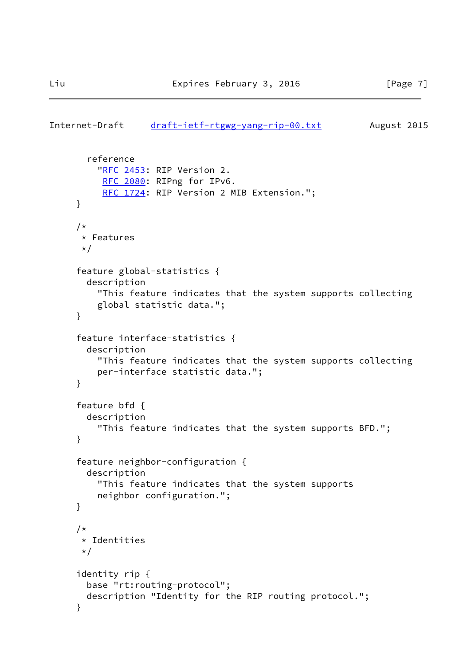```
draft-ietf-rtgwg-yang-rip-00.txt August 2015
        reference
          "RFC 2453: RIP Version 2.
          RFC 2080: RIPng for IPv6.
          RFC 1724: RIP Version 2 MIB Extension.";
      }
      /*
       * Features
       */
      feature global-statistics {
        description
          "This feature indicates that the system supports collecting
          global statistic data.";
      }
      feature interface-statistics {
        description
          "This feature indicates that the system supports collecting
          per-interface statistic data.";
      }
      feature bfd {
        description
          "This feature indicates that the system supports BFD.";
      }
      feature neighbor-configuration {
        description
          "This feature indicates that the system supports
          neighbor configuration.";
      }
      /*
       * Identities
       */
      identity rip {
        base "rt:routing-protocol";
        description "Identity for the RIP routing protocol.";
      }
```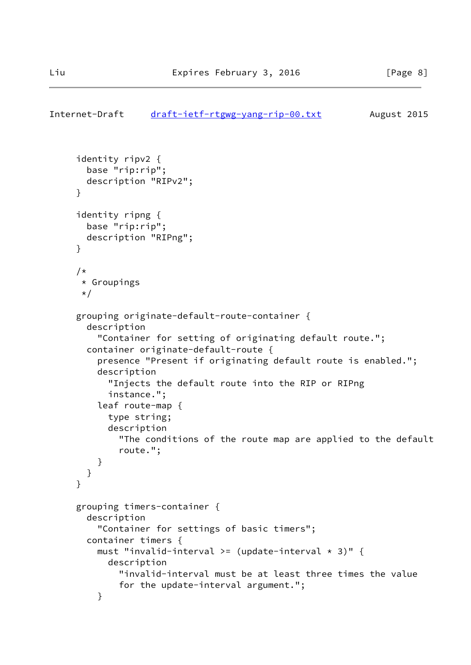```
draft-ietf-rtgwg-yang-rip-00.txt August 2015
      identity ripv2 {
        base "rip:rip";
        description "RIPv2";
      }
      identity ripng {
        base "rip:rip";
        description "RIPng";
      }
      /*
       * Groupings
       */
      grouping originate-default-route-container {
        description
          "Container for setting of originating default route.";
        container originate-default-route {
          presence "Present if originating default route is enabled.";
          description
            "Injects the default route into the RIP or RIPng
            instance.";
          leaf route-map {
            type string;
            description
              "The conditions of the route map are applied to the default
              route.";
          }
        }
      }
      grouping timers-container {
        description
          "Container for settings of basic timers";
        container timers {
         must "invalid-interval >= (update-interval * 3)" {
            description
              "invalid-interval must be at least three times the value
              for the update-interval argument.";
          }
```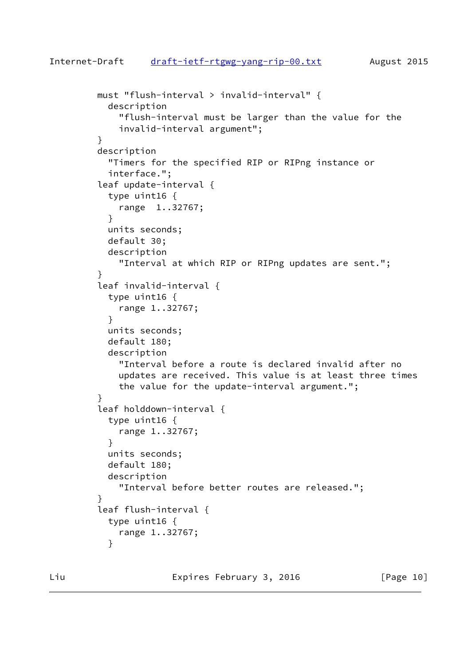```
draft-ietf-rtgwg-yang-rip-00.txt August 2015
         must "flush-interval > invalid-interval" {
           description
             "flush-interval must be larger than the value for the
             invalid-interval argument";
 }
         description
           "Timers for the specified RIP or RIPng instance or
           interface.";
         leaf update-interval {
           type uint16 {
             range 1..32767;
 }
           units seconds;
           default 30;
           description
             "Interval at which RIP or RIPng updates are sent.";
 }
         leaf invalid-interval {
           type uint16 {
             range 1..32767;
 }
           units seconds;
           default 180;
           description
             "Interval before a route is declared invalid after no
             updates are received. This value is at least three times
             the value for the update-interval argument.";
 }
         leaf holddown-interval {
           type uint16 {
             range 1..32767;
 }
           units seconds;
           default 180;
           description
             "Interval before better routes are released.";
 }
         leaf flush-interval {
           type uint16 {
```
range 1..32767;

}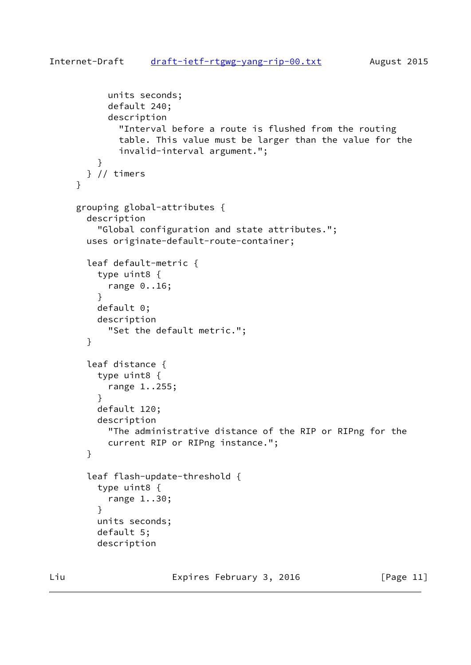```
draft-ietf-rtgwg-yang-rip-00.txt August 2015
```

```
 units seconds;
            default 240;
            description
              "Interval before a route is flushed from the routing
              table. This value must be larger than the value for the
              invalid-interval argument.";
 }
        } // timers
      }
      grouping global-attributes {
        description
          "Global configuration and state attributes.";
        uses originate-default-route-container;
        leaf default-metric {
          type uint8 {
            range 0..16;
 }
          default 0;
          description
            "Set the default metric.";
        }
        leaf distance {
          type uint8 {
            range 1..255;
          }
          default 120;
          description
            "The administrative distance of the RIP or RIPng for the
            current RIP or RIPng instance.";
        }
        leaf flash-update-threshold {
          type uint8 {
            range 1..30;
          }
          units seconds;
          default 5;
          description
```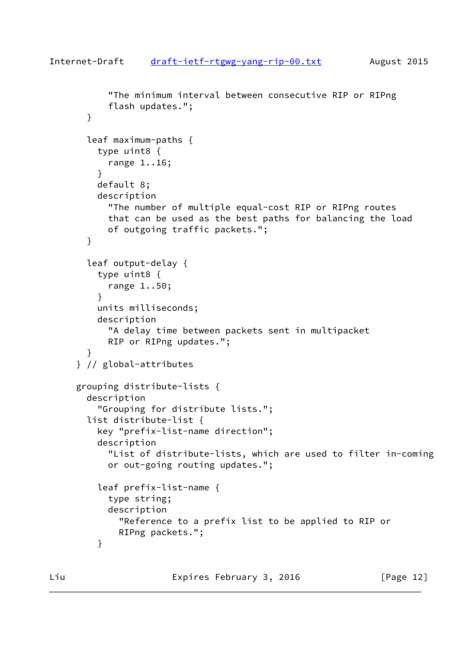```
 "The minimum interval between consecutive RIP or RIPng
            flash updates.";
        }
        leaf maximum-paths {
          type uint8 {
            range 1..16;
          }
          default 8;
          description
            "The number of multiple equal-cost RIP or RIPng routes
            that can be used as the best paths for balancing the load
            of outgoing traffic packets.";
        }
        leaf output-delay {
          type uint8 {
            range 1..50;
 }
          units milliseconds;
          description
            "A delay time between packets sent in multipacket
            RIP or RIPng updates.";
        }
      } // global-attributes
      grouping distribute-lists {
        description
          "Grouping for distribute lists.";
        list distribute-list {
          key "prefix-list-name direction";
          description
            "List of distribute-lists, which are used to filter in-coming
            or out-going routing updates.";
          leaf prefix-list-name {
            type string;
            description
              "Reference to a prefix list to be applied to RIP or
              RIPng packets.";
          }
```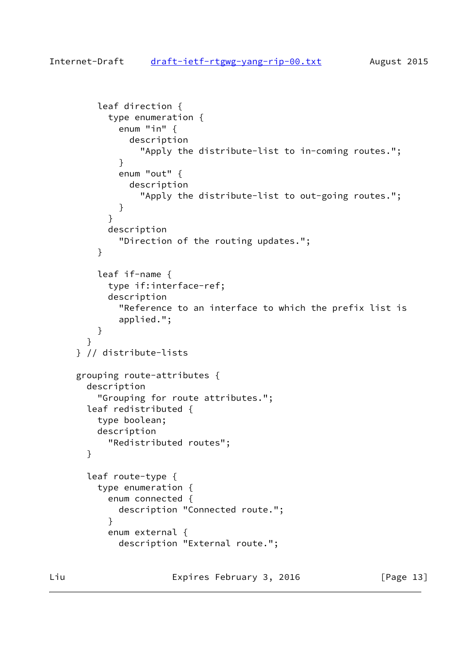```
 leaf direction {
            type enumeration {
             enum "in" {
                description
                  "Apply the distribute-list to in-coming routes.";
 }
             enum "out" {
               description
                  "Apply the distribute-list to out-going routes.";
 }
 }
           description
              "Direction of the routing updates.";
         }
         leaf if-name {
            type if:interface-ref;
           description
              "Reference to an interface to which the prefix list is
             applied.";
         }
       }
     } // distribute-lists
     grouping route-attributes {
       description
          "Grouping for route attributes.";
       leaf redistributed {
         type boolean;
         description
           "Redistributed routes";
       }
       leaf route-type {
          type enumeration {
            enum connected {
              description "Connected route.";
 }
            enum external {
              description "External route.";
```
Liu Expires February 3, 2016 [Page 13]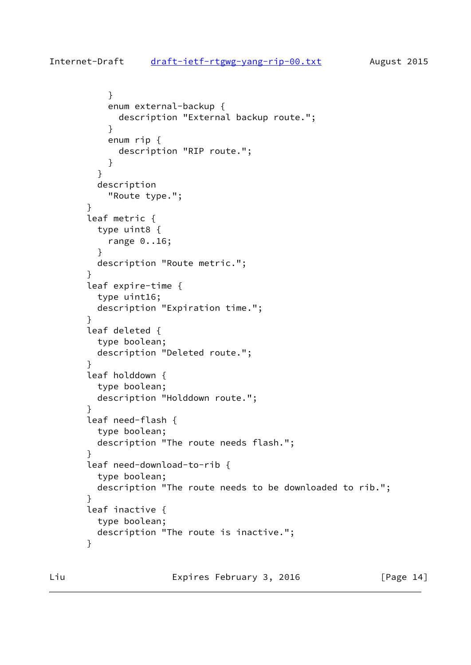```
 }
            enum external-backup {
              description "External backup route.";
 }
            enum rip {
              description "RIP route.";
 }
          }
          description
            "Route type.";
 }
        leaf metric {
          type uint8 {
            range 0..16;
          }
          description "Route metric.";
        }
        leaf expire-time {
          type uint16;
          description "Expiration time.";
        }
        leaf deleted {
          type boolean;
          description "Deleted route.";
        }
        leaf holddown {
          type boolean;
          description "Holddown route.";
        }
        leaf need-flash {
          type boolean;
          description "The route needs flash.";
        }
        leaf need-download-to-rib {
          type boolean;
          description "The route needs to be downloaded to rib.";
        }
        leaf inactive {
         type boolean;
          description "The route is inactive.";
        }
```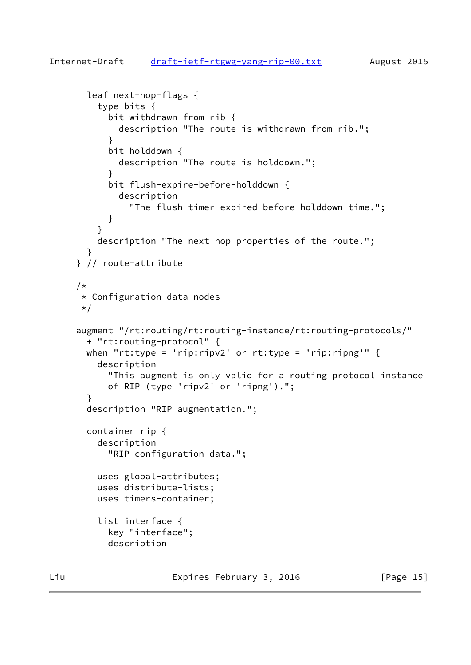```
 leaf next-hop-flags {
          type bits {
           bit withdrawn-from-rib {
              description "The route is withdrawn from rib.";
 }
           bit holddown {
             description "The route is holddown.";
 }
           bit flush-expire-before-holddown {
             description
                "The flush timer expired before holddown time.";
 }
 }
         description "The next hop properties of the route.";
 }
     } // route-attribute
     /*
      * Configuration data nodes
      */
     augment "/rt:routing/rt:routing-instance/rt:routing-protocols/"
       + "rt:routing-protocol" {
      when "rt:type = 'rip:ripv2' or rt:type = 'rip:ripng'" {
         description
            "This augment is only valid for a routing protocol instance
           of RIP (type 'ripv2' or 'ripng').";
       }
       description "RIP augmentation.";
       container rip {
          description
            "RIP configuration data.";
         uses global-attributes;
         uses distribute-lists;
         uses timers-container;
          list interface {
            key "interface";
           description
```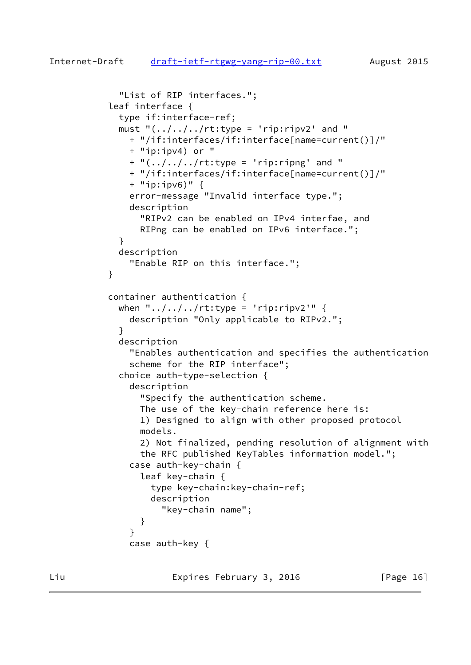```
 "List of RIP interfaces.";
           leaf interface {
             type if:interface-ref;
            must "(.../../r:t:type = 'rip:ripv2' and " + "/if:interfaces/if:interface[name=current()]/"
               + "ip:ipv4) or "
              + "(../../../rt:type = 'rip:ripng' and "
               + "/if:interfaces/if:interface[name=current()]/"
               + "ip:ipv6)" {
               error-message "Invalid interface type.";
               description
                 "RIPv2 can be enabled on IPv4 interfae, and
                 RIPng can be enabled on IPv6 interface.";
 }
             description
               "Enable RIP on this interface.";
 }
           container authentication {
            when "\ldots,,,,,rt:type = 'rip:ripv2'" {
               description "Only applicable to RIPv2.";
 }
             description
               "Enables authentication and specifies the authentication
               scheme for the RIP interface";
             choice auth-type-selection {
               description
                 "Specify the authentication scheme.
                 The use of the key-chain reference here is:
                 1) Designed to align with other proposed protocol
                 models.
                 2) Not finalized, pending resolution of alignment with
                 the RFC published KeyTables information model.";
               case auth-key-chain {
                 leaf key-chain {
                   type key-chain:key-chain-ref;
                   description
                     "key-chain name";
 }
 }
               case auth-key {
```
Liu **Expires February 3, 2016** [Page 16]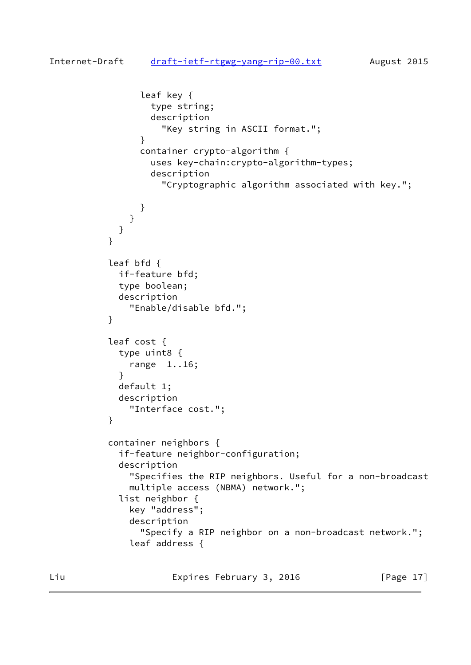```
 leaf key {
                  type string;
                  description
                    "Key string in ASCII format.";
 }
                container crypto-algorithm {
                  uses key-chain:crypto-algorithm-types;
                  description
                    "Cryptographic algorithm associated with key.";
 }
 }
 }
 }
           leaf bfd {
            if-feature bfd;
            type boolean;
            description
              "Enable/disable bfd.";
 }
           leaf cost {
            type uint8 {
              range 1..16;
 }
            default 1;
            description
              "Interface cost.";
 }
           container neighbors {
             if-feature neighbor-configuration;
            description
              "Specifies the RIP neighbors. Useful for a non-broadcast
              multiple access (NBMA) network.";
             list neighbor {
              key "address";
              description
                "Specify a RIP neighbor on a non-broadcast network.";
              leaf address {
```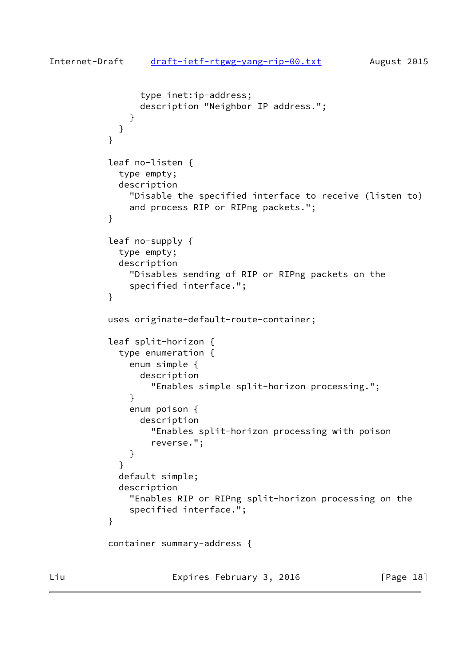```
 type inet:ip-address;
                description "Neighbor IP address.";
 }
 }
 }
          leaf no-listen {
            type empty;
            description
              "Disable the specified interface to receive (listen to)
              and process RIP or RIPng packets.";
 }
          leaf no-supply {
            type empty;
            description
              "Disables sending of RIP or RIPng packets on the
              specified interface.";
 }
          uses originate-default-route-container;
          leaf split-horizon {
            type enumeration {
              enum simple {
                description
                  "Enables simple split-horizon processing.";
 }
              enum poison {
                description
                  "Enables split-horizon processing with poison
                  reverse.";
 }
 }
            default simple;
            description
              "Enables RIP or RIPng split-horizon processing on the
              specified interface.";
 }
          container summary-address {
Liu Expires February 3, 2016 [Page 18]
```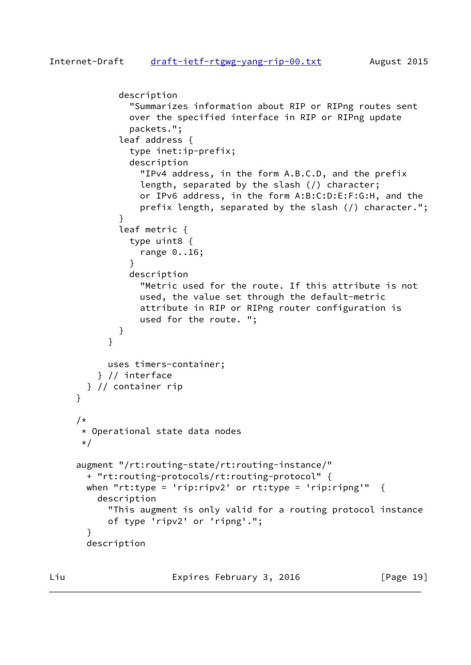```
 description
                "Summarizes information about RIP or RIPng routes sent
               over the specified interface in RIP or RIPng update
                packets.";
              leaf address {
                type inet:ip-prefix;
               description
                  "IPv4 address, in the form A.B.C.D, and the prefix
                 length, separated by the slash (/) character;
                 or IPv6 address, in the form A:B:C:D:E:F:G:H, and the
                 prefix length, separated by the slash (/) character.";
 }
             leaf metric {
                type uint8 {
                 range 0..16;
 }
               description
                  "Metric used for the route. If this attribute is not
                 used, the value set through the default-metric
                 attribute in RIP or RIPng router configuration is
                 used for the route. ";
 }
 }
           uses timers-container;
         } // interface
       } // container rip
     }
     /*
      * Operational state data nodes
      */
     augment "/rt:routing-state/rt:routing-instance/"
       + "rt:routing-protocols/rt:routing-protocol" {
      when "rt:type = 'rip:ripv2' or rt:type = 'rip:ripng'" \{ description
           "This augment is only valid for a routing protocol instance
           of type 'ripv2' or 'ripng'.";
       }
       description
```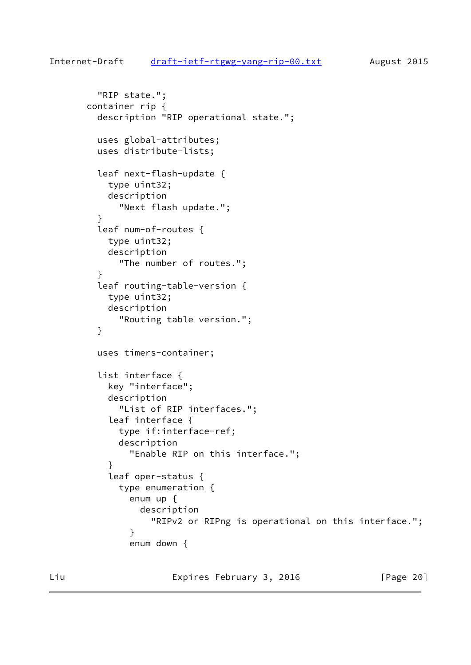```
 "RIP state.";
       container rip {
          description "RIP operational state.";
          uses global-attributes;
          uses distribute-lists;
          leaf next-flash-update {
           type uint32;
           description
              "Next flash update.";
 }
          leaf num-of-routes {
           type uint32;
            description
              "The number of routes.";
 }
          leaf routing-table-version {
           type uint32;
           description
              "Routing table version.";
          }
          uses timers-container;
          list interface {
            key "interface";
           description
              "List of RIP interfaces.";
            leaf interface {
              type if:interface-ref;
              description
                "Enable RIP on this interface.";
 }
            leaf oper-status {
              type enumeration {
                enum up {
                  description
                    "RIPv2 or RIPng is operational on this interface.";
 }
                enum down {
```
Liu **Expires February 3, 2016** [Page 20]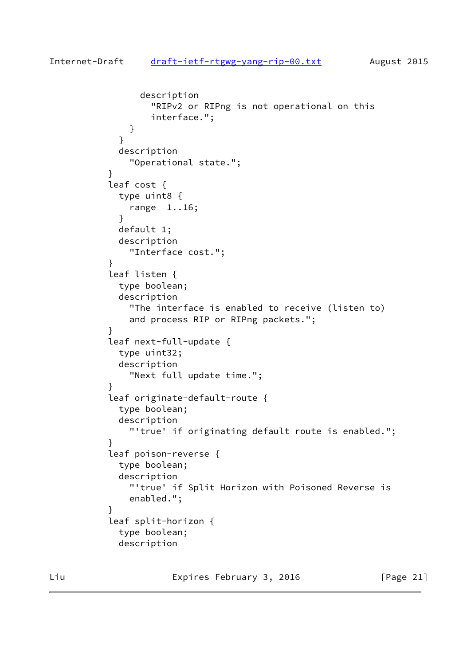```
 description
                  "RIPv2 or RIPng is not operational on this
                  interface.";
 }
 }
             description
               "Operational state.";
 }
           leaf cost {
             type uint8 {
               range 1..16;
 }
             default 1;
             description
               "Interface cost.";
 }
           leaf listen {
             type boolean;
             description
               "The interface is enabled to receive (listen to)
               and process RIP or RIPng packets.";
 }
           leaf next-full-update {
             type uint32;
             description
               "Next full update time.";
 }
           leaf originate-default-route {
             type boolean;
             description
               "'true' if originating default route is enabled.";
 }
           leaf poison-reverse {
             type boolean;
             description
               "'true' if Split Horizon with Poisoned Reverse is
               enabled.";
 }
           leaf split-horizon {
             type boolean;
             description
```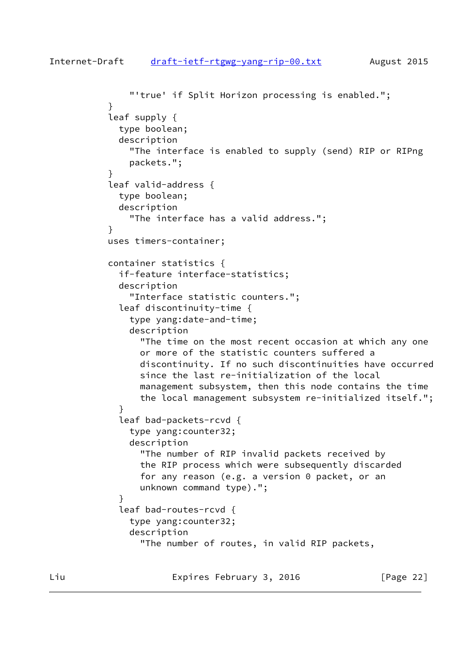```
draft-ietf-rtgwg-yang-rip-00.txt August 2015
               "'true' if Split Horizon processing is enabled.";
 }
           leaf supply {
             type boolean;
             description
               "The interface is enabled to supply (send) RIP or RIPng
               packets.";
 }
           leaf valid-address {
             type boolean;
             description
               "The interface has a valid address.";
 }
           uses timers-container;
           container statistics {
             if-feature interface-statistics;
             description
               "Interface statistic counters.";
             leaf discontinuity-time {
               type yang:date-and-time;
               description
                 "The time on the most recent occasion at which any one
                 or more of the statistic counters suffered a
                 discontinuity. If no such discontinuities have occurred
                 since the last re-initialization of the local
                 management subsystem, then this node contains the time
                 the local management subsystem re-initialized itself.";
 }
             leaf bad-packets-rcvd {
               type yang:counter32;
               description
                 "The number of RIP invalid packets received by
                 the RIP process which were subsequently discarded
                 for any reason (e.g. a version 0 packet, or an
                 unknown command type).";
 }
             leaf bad-routes-rcvd {
               type yang:counter32;
               description
                 "The number of routes, in valid RIP packets,
```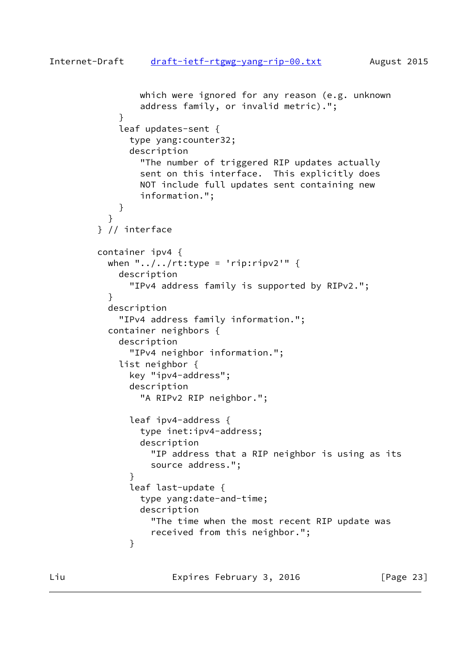```
 which were ignored for any reason (e.g. unknown
                 address family, or invalid metric).";
 }
             leaf updates-sent {
               type yang:counter32;
               description
                 "The number of triggered RIP updates actually
                 sent on this interface. This explicitly does
                 NOT include full updates sent containing new
                 information.";
 }
 }
         } // interface
         container ipv4 {
          when "\ldots/\ldots/rt:type = 'rip:ripv2'" {
             description
               "IPv4 address family is supported by RIPv2.";
 }
           description
             "IPv4 address family information.";
           container neighbors {
             description
               "IPv4 neighbor information.";
             list neighbor {
               key "ipv4-address";
               description
                 "A RIPv2 RIP neighbor.";
               leaf ipv4-address {
                 type inet:ipv4-address;
                 description
                   "IP address that a RIP neighbor is using as its
                   source address.";
 }
               leaf last-update {
                 type yang:date-and-time;
                 description
                   "The time when the most recent RIP update was
                   received from this neighbor.";
 }
```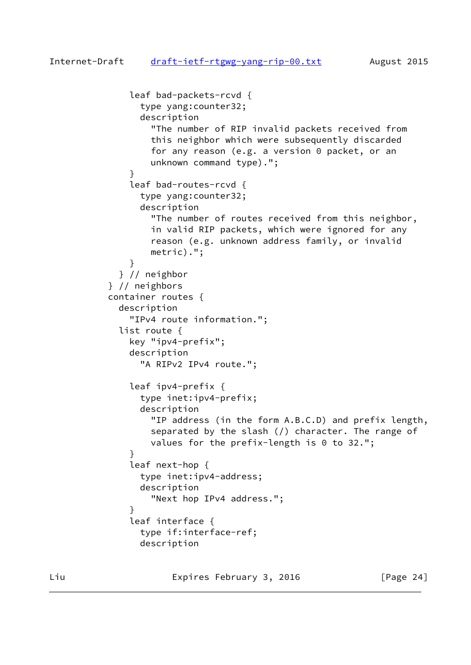```
 leaf bad-packets-rcvd {
                 type yang:counter32;
                 description
                    "The number of RIP invalid packets received from
                   this neighbor which were subsequently discarded
                    for any reason (e.g. a version 0 packet, or an
                   unknown command type).";
 }
               leaf bad-routes-rcvd {
                 type yang:counter32;
                 description
                    "The number of routes received from this neighbor,
                    in valid RIP packets, which were ignored for any
                    reason (e.g. unknown address family, or invalid
                   metric).";
 }
             } // neighbor
           } // neighbors
           container routes {
             description
               "IPv4 route information.";
             list route {
               key "ipv4-prefix";
               description
                "A RIPv2 IPv4 route.";
               leaf ipv4-prefix {
                 type inet:ipv4-prefix;
                 description
                    "IP address (in the form A.B.C.D) and prefix length,
                   separated by the slash (/) character. The range of
                  values for the prefix-length is 0 to 32.";
 }
               leaf next-hop {
                 type inet:ipv4-address;
                 description
                    "Next hop IPv4 address.";
 }
               leaf interface {
                 type if:interface-ref;
                 description
```
Liu **Expires February 3, 2016** [Page 24]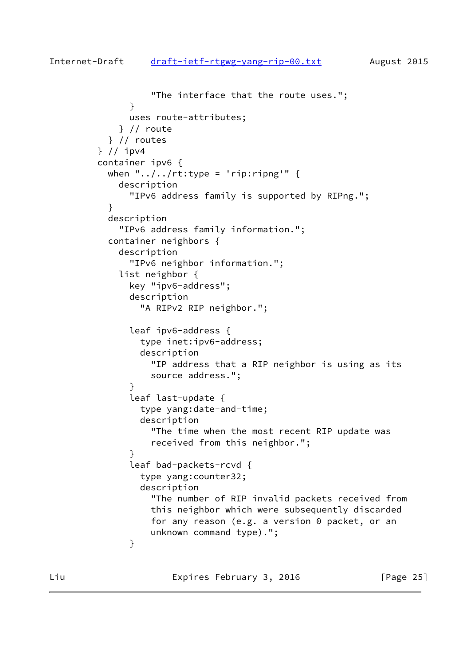```
 "The interface that the route uses.";
 }
               uses route-attributes;
             } // route
           } // routes
         } // ipv4
         container ipv6 {
          when "\ldots, /\ldots/rt:type = 'rip:ripng'" {
             description
                "IPv6 address family is supported by RIPng.";
 }
           description
             "IPv6 address family information.";
           container neighbors {
             description
                "IPv6 neighbor information.";
             list neighbor {
               key "ipv6-address";
               description
                  "A RIPv2 RIP neighbor.";
                leaf ipv6-address {
                 type inet:ipv6-address;
                 description
                   "IP address that a RIP neighbor is using as its
                   source address.";
 }
                leaf last-update {
                 type yang:date-and-time;
                 description
                    "The time when the most recent RIP update was
                    received from this neighbor.";
 }
                leaf bad-packets-rcvd {
                 type yang:counter32;
                 description
                    "The number of RIP invalid packets received from
                    this neighbor which were subsequently discarded
                    for any reason (e.g. a version 0 packet, or an
                   unknown command type).";
 }
```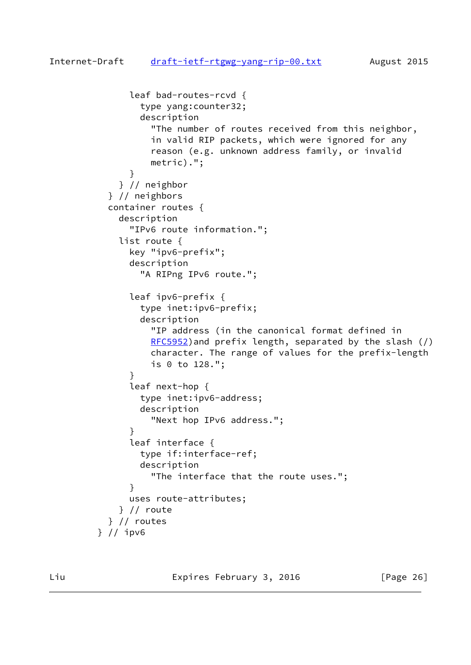```
 leaf bad-routes-rcvd {
                 type yang:counter32;
                 description
                    "The number of routes received from this neighbor,
                    in valid RIP packets, which were ignored for any
                    reason (e.g. unknown address family, or invalid
                   metric).";
 }
             } // neighbor
           } // neighbors
           container routes {
             description
               "IPv6 route information.";
             list route {
               key "ipv6-prefix";
               description
                  "A RIPng IPv6 route.";
                leaf ipv6-prefix {
                 type inet:ipv6-prefix;
                 description
                    "IP address (in the canonical format defined in
                  RFC5952) and prefix length, separated by the slash (/)
                   character. The range of values for the prefix-length
                   is 0 to 128.";
 }
               leaf next-hop {
                 type inet:ipv6-address;
                 description
                    "Next hop IPv6 address.";
 }
               leaf interface {
                 type if:interface-ref;
                 description
                    "The interface that the route uses.";
 }
               uses route-attributes;
             } // route
           } // routes
         } // ipv6
```
Liu **Expires February 3, 2016** [Page 26]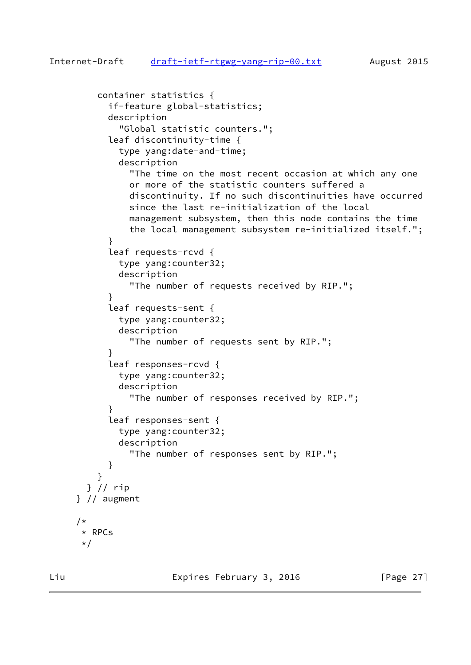```
draft-ietf-rtgwg-yang-rip-00.txt August 2015
```

```
 container statistics {
           if-feature global-statistics;
           description
              "Global statistic counters.";
           leaf discontinuity-time {
              type yang:date-and-time;
             description
                "The time on the most recent occasion at which any one
               or more of the statistic counters suffered a
               discontinuity. If no such discontinuities have occurred
               since the last re-initialization of the local
               management subsystem, then this node contains the time
               the local management subsystem re-initialized itself.";
 }
           leaf requests-rcvd {
             type yang:counter32;
             description
                "The number of requests received by RIP.";
 }
           leaf requests-sent {
             type yang:counter32;
             description
                "The number of requests sent by RIP.";
 }
           leaf responses-rcvd {
             type yang:counter32;
             description
               "The number of responses received by RIP.";
 }
           leaf responses-sent {
             type yang:counter32;
             description
                "The number of responses sent by RIP.";
 }
         }
       } // rip
     } // augment
      * RPCs
      */
```
 $/$ \*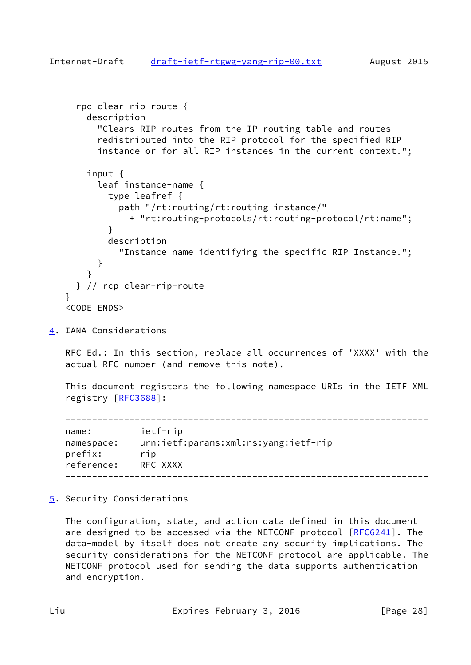```
 rpc clear-rip-route {
        description
          "Clears RIP routes from the IP routing table and routes
          redistributed into the RIP protocol for the specified RIP
          instance or for all RIP instances in the current context.";
        input {
          leaf instance-name {
            type leafref {
              path "/rt:routing/rt:routing-instance/"
                + "rt:routing-protocols/rt:routing-protocol/rt:name";
 }
            description
              "Instance name identifying the specific RIP Instance.";
          }
        }
      } // rcp clear-rip-route
    }
    <CODE ENDS>
```
<span id="page-28-0"></span>[4](#page-28-0). IANA Considerations

 RFC Ed.: In this section, replace all occurrences of 'XXXX' with the actual RFC number (and remove this note).

 This document registers the following namespace URIs in the IETF XML registry [\[RFC3688](https://datatracker.ietf.org/doc/pdf/rfc3688)]:

 ------------------------------------------------------------------- name: ietf-rip namespace: urn:ietf:params:xml:ns:yang:ietf-rip prefix: rip reference: RFC XXXX --------------------------------------------------------------------

<span id="page-28-2"></span>[5](#page-28-2). Security Considerations

 The configuration, state, and action data defined in this document are designed to be accessed via the NETCONF protocol [\[RFC6241](https://datatracker.ietf.org/doc/pdf/rfc6241)]. The data-model by itself does not create any security implications. The security considerations for the NETCONF protocol are applicable. The NETCONF protocol used for sending the data supports authentication and encryption.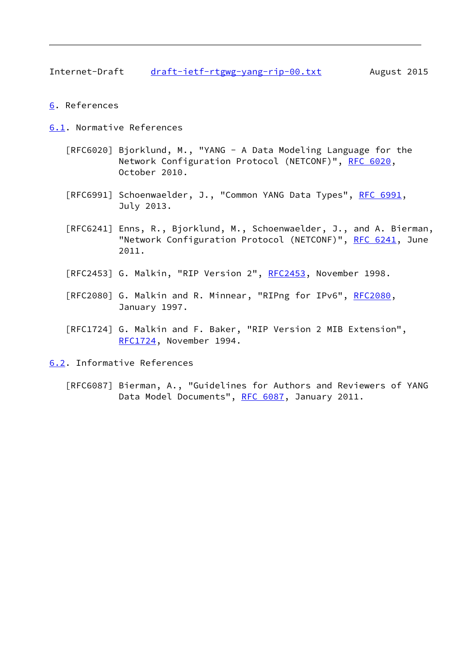- <span id="page-29-1"></span><span id="page-29-0"></span>[6](#page-29-0). References
- <span id="page-29-2"></span>[6.1](#page-29-2). Normative References
	- [RFC6020] Bjorklund, M., "YANG A Data Modeling Language for the Network Configuration Protocol (NETCONF)", [RFC 6020](https://datatracker.ietf.org/doc/pdf/rfc6020), October 2010.
	- [RFC6991] Schoenwaelder, J., "Common YANG Data Types", [RFC 6991,](https://datatracker.ietf.org/doc/pdf/rfc6991) July 2013.
	- [RFC6241] Enns, R., Bjorklund, M., Schoenwaelder, J., and A. Bierman, "Network Configuration Protocol (NETCONF)", [RFC 6241](https://datatracker.ietf.org/doc/pdf/rfc6241), June 2011.
	- [RFC2453] G. Malkin, "RIP Version 2", [RFC2453](https://datatracker.ietf.org/doc/pdf/rfc2453), November 1998.
	- [RFC2080] G. Malkin and R. Minnear, "RIPng for IPv6", [RFC2080](https://datatracker.ietf.org/doc/pdf/rfc2080), January 1997.
	- [RFC1724] G. Malkin and F. Baker, "RIP Version 2 MIB Extension", [RFC1724](https://datatracker.ietf.org/doc/pdf/rfc1724), November 1994.
- <span id="page-29-3"></span>[6.2](#page-29-3). Informative References
	- [RFC6087] Bierman, A., "Guidelines for Authors and Reviewers of YANG Data Model Documents", [RFC 6087](https://datatracker.ietf.org/doc/pdf/rfc6087), January 2011.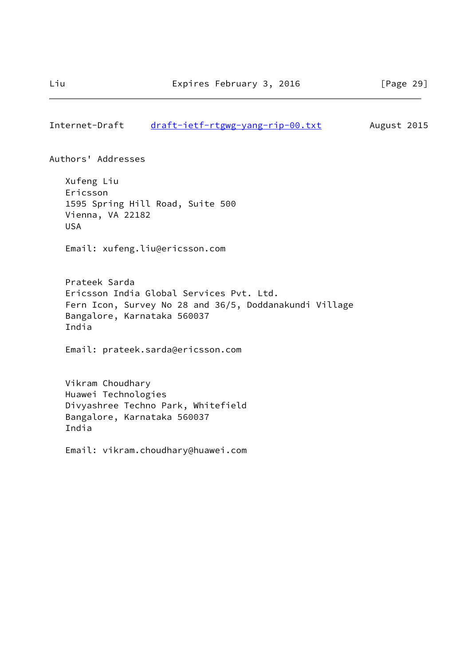Authors' Addresses

 Xufeng Liu Ericsson 1595 Spring Hill Road, Suite 500 Vienna, VA 22182 USA

Email: xufeng.liu@ericsson.com

 Prateek Sarda Ericsson India Global Services Pvt. Ltd. Fern Icon, Survey No 28 and 36/5, Doddanakundi Village Bangalore, Karnataka 560037 India

Email: prateek.sarda@ericsson.com

 Vikram Choudhary Huawei Technologies Divyashree Techno Park, Whitefield Bangalore, Karnataka 560037 India

Email: vikram.choudhary@huawei.com